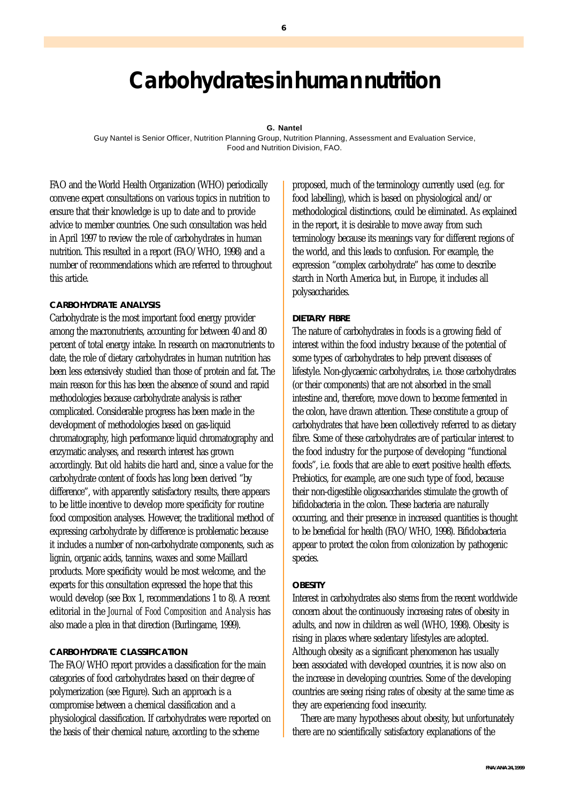# **Carbohydrates in human nutrition**

#### **G. Nantel**

Guy Nantel is Senior Officer, Nutrition Planning Group, Nutrition Planning, Assessment and Evaluation Service, Food and Nutrition Division, FAO.

FAO and the World Health Organization (WHO) periodically convene expert consultations on various topics in nutrition to ensure that their knowledge is up to date and to provide advice to member countries. One such consultation was held in April 1997 to review the role of carbohydrates in human nutrition. This resulted in a report (FAO/WHO, 1998) and a number of recommendations which are referred to throughout this article.

## **CARBOHYDRATE ANALYSIS**

Carbohydrate is the most important food energy provider among the macronutrients, accounting for between 40 and 80 percent of total energy intake. In research on macronutrients to date, the role of dietary carbohydrates in human nutrition has been less extensively studied than those of protein and fat. The main reason for this has been the absence of sound and rapid methodologies because carbohydrate analysis is rather complicated. Considerable progress has been made in the development of methodologies based on gas-liquid chromatography, high performance liquid chromatography and enzymatic analyses, and research interest has grown accordingly. But old habits die hard and, since a value for the carbohydrate content of foods has long been derived "by difference", with apparently satisfactory results, there appears to be little incentive to develop more specificity for routine food composition analyses. However, the traditional method of expressing carbohydrate by difference is problematic because it includes a number of non-carbohydrate components, such as lignin, organic acids, tannins, waxes and some Maillard products. More specificity would be most welcome, and the experts for this consultation expressed the hope that this would develop (see Box 1, recommendations 1 to 8). A recent editorial in the *Journal of Food Composition and Analysis* has also made a plea in that direction (Burlingame, 1999).

# **CARBOHYDRATE CLASSIFICATION**

The FAO/WHO report provides a classification for the main categories of food carbohydrates based on their degree of polymerization (see Figure). Such an approach is a compromise between a chemical classification and a physiological classification. If carbohydrates were reported on the basis of their chemical nature, according to the scheme

proposed, much of the terminology currently used (e.g. for food labelling), which is based on physiological and/or methodological distinctions, could be eliminated. As explained in the report, it is desirable to move away from such terminology because its meanings vary for different regions of the world, and this leads to confusion. For example, the expression "complex carbohydrate" has come to describe starch in North America but, in Europe, it includes all polysaccharides.

# **DIETARY FIBRE**

The nature of carbohydrates in foods is a growing field of interest within the food industry because of the potential of some types of carbohydrates to help prevent diseases of lifestyle. Non-glycaemic carbohydrates, i.e. those carbohydrates (or their components) that are not absorbed in the small intestine and, therefore, move down to become fermented in the colon, have drawn attention. These constitute a group of carbohydrates that have been collectively referred to as dietary fibre. Some of these carbohydrates are of particular interest to the food industry for the purpose of developing "functional foods", i.e. foods that are able to exert positive health effects. Prebiotics, for example, are one such type of food, because their non-digestible oligosaccharides stimulate the growth of bifidobacteria in the colon. These bacteria are naturally occurring, and their presence in increased quantities is thought to be beneficial for health (FAO/WHO, 1998). Bifidobacteria appear to protect the colon from colonization by pathogenic species.

# **OBESITY**

Interest in carbohydrates also stems from the recent worldwide concern about the continuously increasing rates of obesity in adults, and now in children as well (WHO, 1998). Obesity is rising in places where sedentary lifestyles are adopted. Although obesity as a significant phenomenon has usually been associated with developed countries, it is now also on the increase in developing countries. Some of the developing countries are seeing rising rates of obesity at the same time as they are experiencing food insecurity.

There are many hypotheses about obesity, but unfortunately there are no scientifically satisfactory explanations of the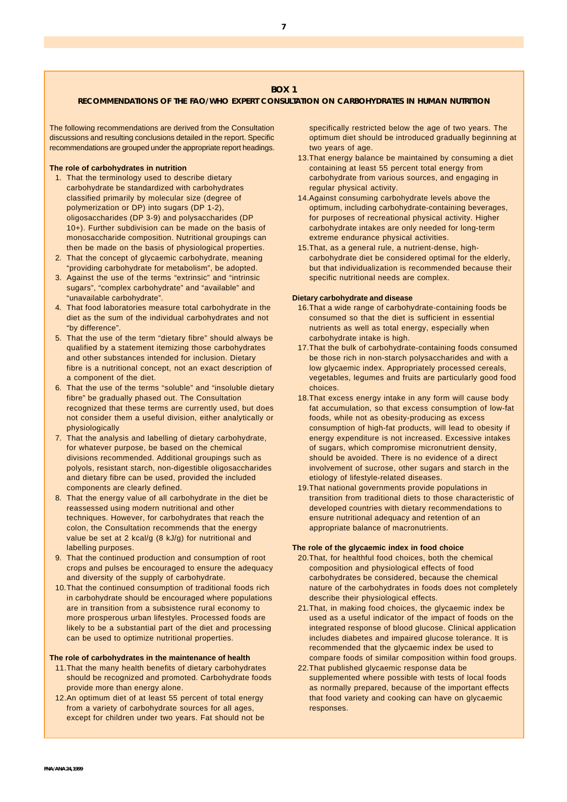## **BOX 1**

#### **RECOMMENDATIONS OF THE FAO/WHO EXPERT CONSULTATION ON CARBOHYDRATES IN HUMAN NUTRITION**

The following recommendations are derived from the Consultation discussions and resulting conclusions detailed in the report. Specific recommendations are grouped under the appropriate report headings.

#### **The role of carbohydrates in nutrition**

- 1. That the terminology used to describe dietary carbohydrate be standardized with carbohydrates classified primarily by molecular size (degree of polymerization or DP) into sugars (DP 1-2), oligosaccharides (DP 3-9) and polysaccharides (DP 10+). Further subdivision can be made on the basis of monosaccharide composition. Nutritional groupings can then be made on the basis of physiological properties.
- 2. That the concept of glycaemic carbohydrate, meaning "providing carbohydrate for metabolism", be adopted.
- 3. Against the use of the terms "extrinsic" and "intrinsic sugars", "complex carbohydrate" and "available" and "unavailable carbohydrate".
- 4. That food laboratories measure total carbohydrate in the diet as the sum of the individual carbohydrates and not "by difference".
- 5. That the use of the term "dietary fibre" should always be qualified by a statement itemizing those carbohydrates and other substances intended for inclusion. Dietary fibre is a nutritional concept, not an exact description of a component of the diet.
- 6. That the use of the terms "soluble" and "insoluble dietary fibre" be gradually phased out. The Consultation recognized that these terms are currently used, but does not consider them a useful division, either analytically or physiologically
- 7. That the analysis and labelling of dietary carbohydrate, for whatever purpose, be based on the chemical divisions recommended. Additional groupings such as polyols, resistant starch, non-digestible oligosaccharides and dietary fibre can be used, provided the included components are clearly defined.
- 8. That the energy value of all carbohydrate in the diet be reassessed using modern nutritional and other techniques. However, for carbohydrates that reach the colon, the Consultation recommends that the energy value be set at 2 kcal/g (8 kJ/g) for nutritional and labelling purposes.
- 9. That the continued production and consumption of root crops and pulses be encouraged to ensure the adequacy and diversity of the supply of carbohydrate.
- 10.That the continued consumption of traditional foods rich in carbohydrate should be encouraged where populations are in transition from a subsistence rural economy to more prosperous urban lifestyles. Processed foods are likely to be a substantial part of the diet and processing can be used to optimize nutritional properties.

#### **The role of carbohydrates in the maintenance of health**

- 11.That the many health benefits of dietary carbohydrates should be recognized and promoted. Carbohydrate foods provide more than energy alone.
- 12.An optimum diet of at least 55 percent of total energy from a variety of carbohydrate sources for all ages, except for children under two years. Fat should not be

specifically restricted below the age of two years. The optimum diet should be introduced gradually beginning at two years of age.

- 13.That energy balance be maintained by consuming a diet containing at least 55 percent total energy from carbohydrate from various sources, and engaging in regular physical activity.
- 14.Against consuming carbohydrate levels above the optimum, including carbohydrate-containing beverages, for purposes of recreational physical activity. Higher carbohydrate intakes are only needed for long-term extreme endurance physical activities.
- 15.That, as a general rule, a nutrient-dense, highcarbohydrate diet be considered optimal for the elderly, but that individualization is recommended because their specific nutritional needs are complex.

#### **Dietary carbohydrate and disease**

- 16.That a wide range of carbohydrate-containing foods be consumed so that the diet is sufficient in essential nutrients as well as total energy, especially when carbohydrate intake is high.
- 17.That the bulk of carbohydrate-containing foods consumed be those rich in non-starch polysaccharides and with a low glycaemic index. Appropriately processed cereals, vegetables, legumes and fruits are particularly good food choices.
- 18.That excess energy intake in any form will cause body fat accumulation, so that excess consumption of low-fat foods, while not as obesity-producing as excess consumption of high-fat products, will lead to obesity if energy expenditure is not increased. Excessive intakes of sugars, which compromise micronutrient density, should be avoided. There is no evidence of a direct involvement of sucrose, other sugars and starch in the etiology of lifestyle-related diseases.
- 19.That national governments provide populations in transition from traditional diets to those characteristic of developed countries with dietary recommendations to ensure nutritional adequacy and retention of an appropriate balance of macronutrients.

#### **The role of the glycaemic index in food choice**

- 20.That, for healthful food choices, both the chemical composition and physiological effects of food carbohydrates be considered, because the chemical nature of the carbohydrates in foods does not completely describe their physiological effects.
- 21.That, in making food choices, the glycaemic index be used as a useful indicator of the impact of foods on the integrated response of blood glucose. Clinical application includes diabetes and impaired glucose tolerance. It is recommended that the glycaemic index be used to compare foods of similar composition within food groups.
- 22.That published glycaemic response data be supplemented where possible with tests of local foods as normally prepared, because of the important effects that food variety and cooking can have on glycaemic responses.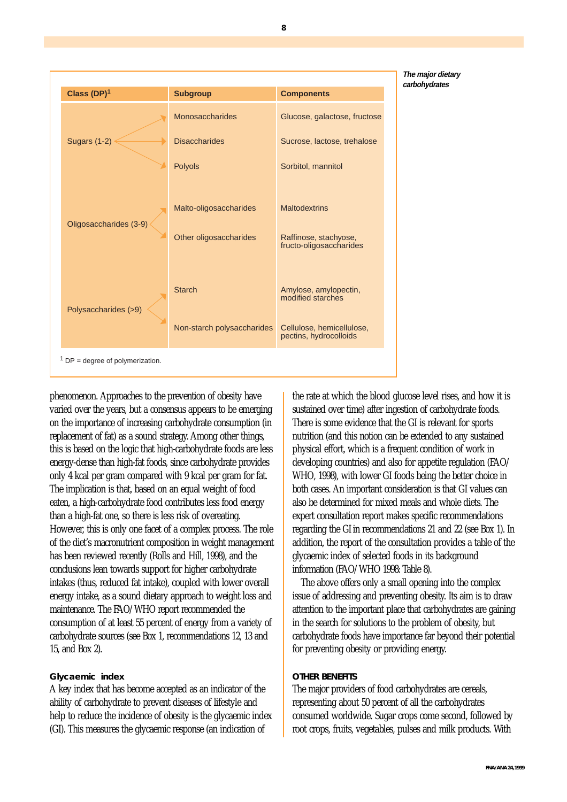

phenomenon. Approaches to the prevention of obesity have varied over the years, but a consensus appears to be emerging on the importance of increasing carbohydrate consumption (in replacement of fat) as a sound strategy. Among other things, this is based on the logic that high-carbohydrate foods are less energy-dense than high-fat foods, since carbohydrate provides only 4 kcal per gram compared with 9 kcal per gram for fat. The implication is that, based on an equal weight of food eaten, a high-carbohydrate food contributes less food energy than a high-fat one, so there is less risk of overeating. However, this is only one facet of a complex process. The role of the diet's macronutrient composition in weight management has been reviewed recently (Rolls and Hill, 1998), and the conclusions lean towards support for higher carbohydrate intakes (thus, reduced fat intake), coupled with lower overall energy intake, as a sound dietary approach to weight loss and maintenance. The FAO/WHO report recommended the consumption of at least 55 percent of energy from a variety of carbohydrate sources (see Box 1, recommendations 12, 13 and 15, and Box 2).

# **Glycaemic index**

A key index that has become accepted as an indicator of the ability of carbohydrate to prevent diseases of lifestyle and help to reduce the incidence of obesity is the glycaemic index (GI). This measures the glycaemic response (an indication of

the rate at which the blood glucose level rises, and how it is sustained over time) after ingestion of carbohydrate foods. There is some evidence that the GI is relevant for sports nutrition (and this notion can be extended to any sustained physical effort, which is a frequent condition of work in developing countries) and also for appetite regulation (FAO/ WHO, 1998), with lower GI foods being the better choice in both cases. An important consideration is that GI values can also be determined for mixed meals and whole diets. The expert consultation report makes specific recommendations regarding the GI in recommendations 21 and 22 (see Box 1). In addition, the report of the consultation provides a table of the glycaemic index of selected foods in its background information (FAO/WHO 1998: Table 8).

The above offers only a small opening into the complex issue of addressing and preventing obesity. Its aim is to draw attention to the important place that carbohydrates are gaining in the search for solutions to the problem of obesity, but carbohydrate foods have importance far beyond their potential for preventing obesity or providing energy.

# **OTHER BENEFITS**

The major providers of food carbohydrates are cereals, representing about 50 percent of all the carbohydrates consumed worldwide. Sugar crops come second, followed by root crops, fruits, vegetables, pulses and milk products. With

**8**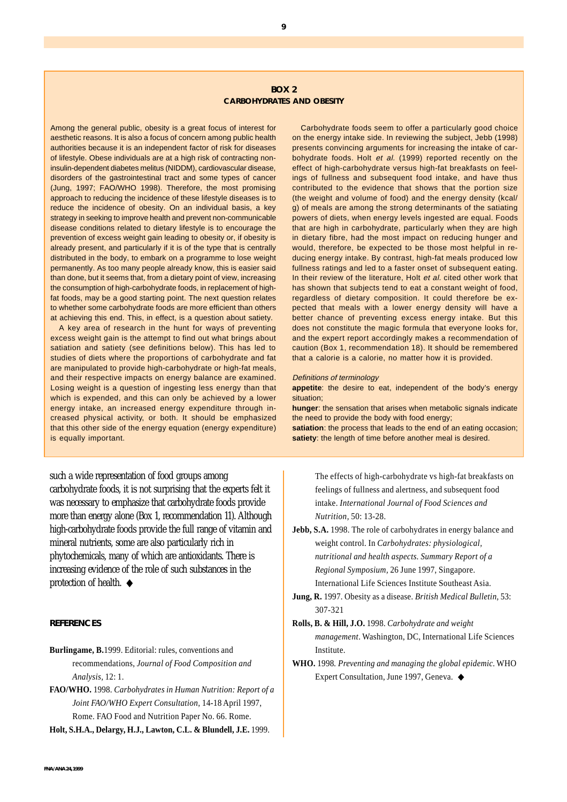#### **BOX 2 CARBOHYDRATES AND OBESITY**

Among the general public, obesity is a great focus of interest for aesthetic reasons. It is also a focus of concern among public health authorities because it is an independent factor of risk for diseases of lifestyle. Obese individuals are at a high risk of contracting noninsulin-dependent diabetes melitus (NIDDM), cardiovascular disease, disorders of the gastrointestinal tract and some types of cancer (Jung, 1997; FAO/WHO 1998). Therefore, the most promising approach to reducing the incidence of these lifestyle diseases is to reduce the incidence of obesity. On an individual basis, a key strategy in seeking to improve health and prevent non-communicable disease conditions related to dietary lifestyle is to encourage the prevention of excess weight gain leading to obesity or, if obesity is already present, and particularly if it is of the type that is centrally distributed in the body, to embark on a programme to lose weight permanently. As too many people already know, this is easier said than done, but it seems that, from a dietary point of view, increasing the consumption of high-carbohydrate foods, in replacement of highfat foods, may be a good starting point. The next question relates to whether some carbohydrate foods are more efficient than others at achieving this end. This, in effect, is a question about satiety.

A key area of research in the hunt for ways of preventing excess weight gain is the attempt to find out what brings about satiation and satiety (see definitions below). This has led to studies of diets where the proportions of carbohydrate and fat are manipulated to provide high-carbohydrate or high-fat meals, and their respective impacts on energy balance are examined. Losing weight is a question of ingesting less energy than that which is expended, and this can only be achieved by a lower energy intake, an increased energy expenditure through increased physical activity, or both. It should be emphasized that this other side of the energy equation (energy expenditure) is equally important.

such a wide representation of food groups among carbohydrate foods, it is not surprising that the experts felt it was necessary to emphasize that carbohydrate foods provide more than energy alone (Box 1, recommendation 11). Although high-carbohydrate foods provide the full range of vitamin and mineral nutrients, some are also particularly rich in phytochemicals, many of which are antioxidants. There is increasing evidence of the role of such substances in the protection of health. ◆

## **REFERENCES**

# **Burlingame, B.**1999. Editorial: rules, conventions and recommendations, *Journal of Food Composition and Analysis,* 12: 1.

**FAO/WHO.** 1998. *Carbohydrates in Human Nutrition: Report of a Joint FAO/WHO Expert Consultation,* 14-18 April 1997, Rome. FAO Food and Nutrition Paper No. 66. Rome.

**Holt, S.H.A., Delargy, H.J., Lawton, C.L. & Blundell, J.E.** 1999.

Carbohydrate foods seem to offer a particularly good choice on the energy intake side. In reviewing the subject, Jebb (1998) presents convincing arguments for increasing the intake of carbohydrate foods. Holt et al. (1999) reported recently on the effect of high-carbohydrate versus high-fat breakfasts on feelings of fullness and subsequent food intake, and have thus contributed to the evidence that shows that the portion size (the weight and volume of food) and the energy density (kcal/ g) of meals are among the strong determinants of the satiating powers of diets, when energy levels ingested are equal. Foods that are high in carbohydrate, particularly when they are high in dietary fibre, had the most impact on reducing hunger and would, therefore, be expected to be those most helpful in reducing energy intake. By contrast, high-fat meals produced low fullness ratings and led to a faster onset of subsequent eating. In their review of the literature, Holt et al. cited other work that has shown that subjects tend to eat a constant weight of food, regardless of dietary composition. It could therefore be expected that meals with a lower energy density will have a better chance of preventing excess energy intake. But this does not constitute the magic formula that everyone looks for, and the expert report accordingly makes a recommendation of caution (Box 1, recommendation 18). It should be remembered that a calorie is a calorie, no matter how it is provided.

#### Definitions of terminology

**appetite**: the desire to eat, independent of the body's energy situation;

**hunger**: the sensation that arises when metabolic signals indicate the need to provide the body with food energy;

**satiation**: the process that leads to the end of an eating occasion; **satiety**: the length of time before another meal is desired.

The effects of high-carbohydrate vs high-fat breakfasts on feelings of fullness and alertness, and subsequent food intake. *International Journal of Food Sciences and Nutrition,* 50: 13-28.

- **Jebb, S.A.** 1998. The role of carbohydrates in energy balance and weight control. In *Carbohydrates: physiological, nutritional and health aspects. Summary Report of a Regional Symposium,* 26 June 1997, Singapore. International Life Sciences Institute Southeast Asia.
- **Jung, R.** 1997. Obesity as a disease. *British Medical Bulletin,* 53: 307-321
- **Rolls, B. & Hill, J.O.** 1998. *Carbohydrate and weight management*. Washington, DC, International Life Sciences Institute.
- **WHO.** 1998*. Preventing and managing the global epidemic*. WHO Expert Consultation, June 1997, Geneva. ◆